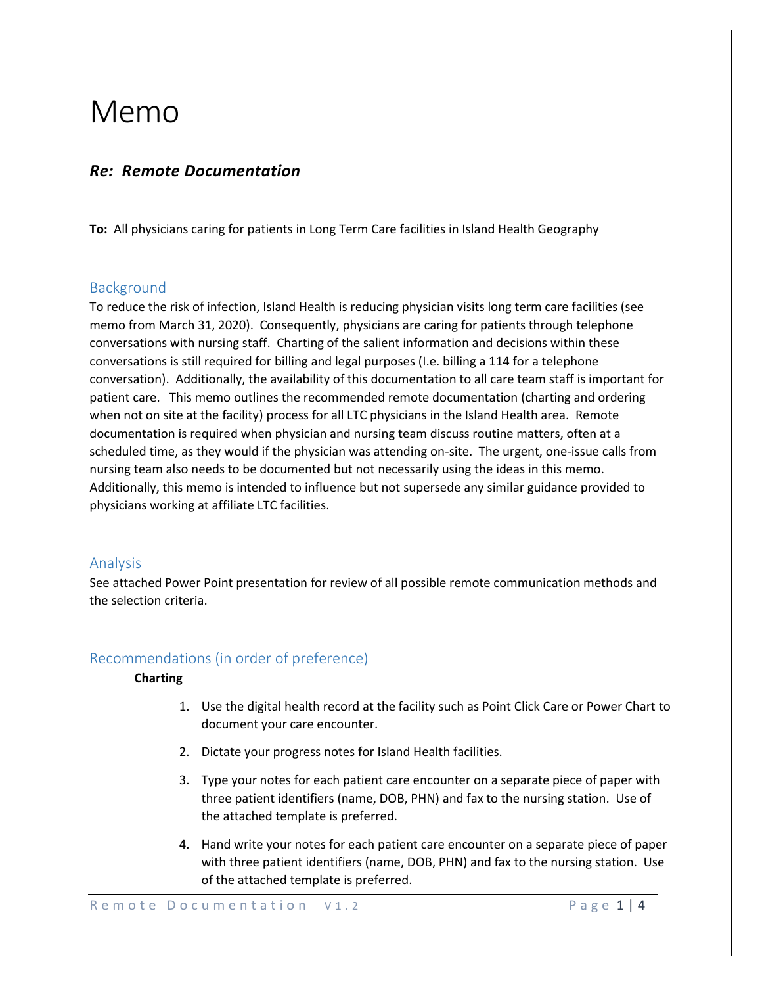## Memo

## *Re: Remote Documentation*

**To:** All physicians caring for patients in Long Term Care facilities in Island Health Geography

## Background

To reduce the risk of infection, Island Health is reducing physician visits long term care facilities (see memo from March 31, 2020). Consequently, physicians are caring for patients through telephone conversations with nursing staff. Charting of the salient information and decisions within these conversations is still required for billing and legal purposes (I.e. billing a 114 for a telephone conversation). Additionally, the availability of this documentation to all care team staff is important for patient care. This memo outlines the recommended remote documentation (charting and ordering when not on site at the facility) process for all LTC physicians in the Island Health area. Remote documentation is required when physician and nursing team discuss routine matters, often at a scheduled time, as they would if the physician was attending on-site. The urgent, one-issue calls from nursing team also needs to be documented but not necessarily using the ideas in this memo. Additionally, this memo is intended to influence but not supersede any similar guidance provided to physicians working at affiliate LTC facilities.

## Analysis

See attached Power Point presentation for review of all possible remote communication methods and the selection criteria.

## Recommendations (in order of preference)

#### **Charting**

- 1. Use the digital health record at the facility such as Point Click Care or Power Chart to document your care encounter.
- 2. Dictate your progress notes for Island Health facilities.
- 3. Type your notes for each patient care encounter on a separate piece of paper with three patient identifiers (name, DOB, PHN) and fax to the nursing station. Use of the attached template is preferred.
- 4. Hand write your notes for each patient care encounter on a separate piece of paper with three patient identifiers (name, DOB, PHN) and fax to the nursing station. Use of the attached template is preferred.

Remote Documentation V1.2 Page 1 | 4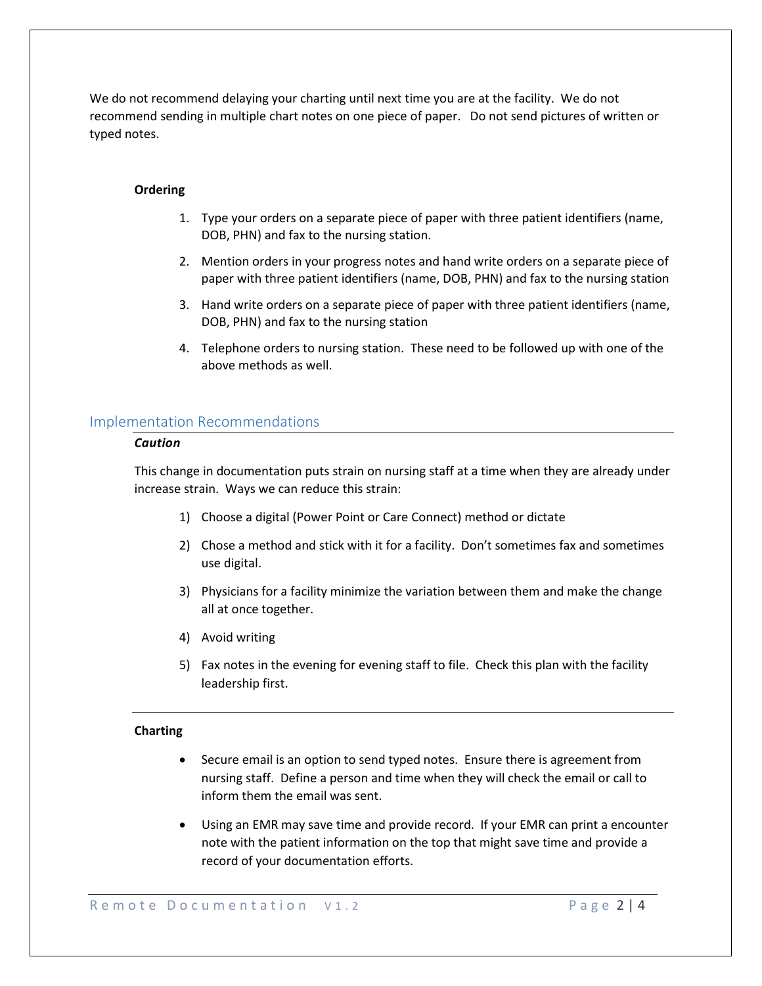We do not recommend delaying your charting until next time you are at the facility. We do not recommend sending in multiple chart notes on one piece of paper. Do not send pictures of written or typed notes.

#### **Ordering**

- 1. Type your orders on a separate piece of paper with three patient identifiers (name, DOB, PHN) and fax to the nursing station.
- 2. Mention orders in your progress notes and hand write orders on a separate piece of paper with three patient identifiers (name, DOB, PHN) and fax to the nursing station
- 3. Hand write orders on a separate piece of paper with three patient identifiers (name, DOB, PHN) and fax to the nursing station
- 4. Telephone orders to nursing station. These need to be followed up with one of the above methods as well.

#### Implementation Recommendations

#### *Caution*

This change in documentation puts strain on nursing staff at a time when they are already under increase strain. Ways we can reduce this strain:

- 1) Choose a digital (Power Point or Care Connect) method or dictate
- 2) Chose a method and stick with it for a facility. Don't sometimes fax and sometimes use digital.
- 3) Physicians for a facility minimize the variation between them and make the change all at once together.
- 4) Avoid writing
- 5) Fax notes in the evening for evening staff to file. Check this plan with the facility leadership first.

#### **Charting**

- Secure email is an option to send typed notes. Ensure there is agreement from nursing staff. Define a person and time when they will check the email or call to inform them the email was sent.
- Using an EMR may save time and provide record. If your EMR can print a encounter note with the patient information on the top that might save time and provide a record of your documentation efforts.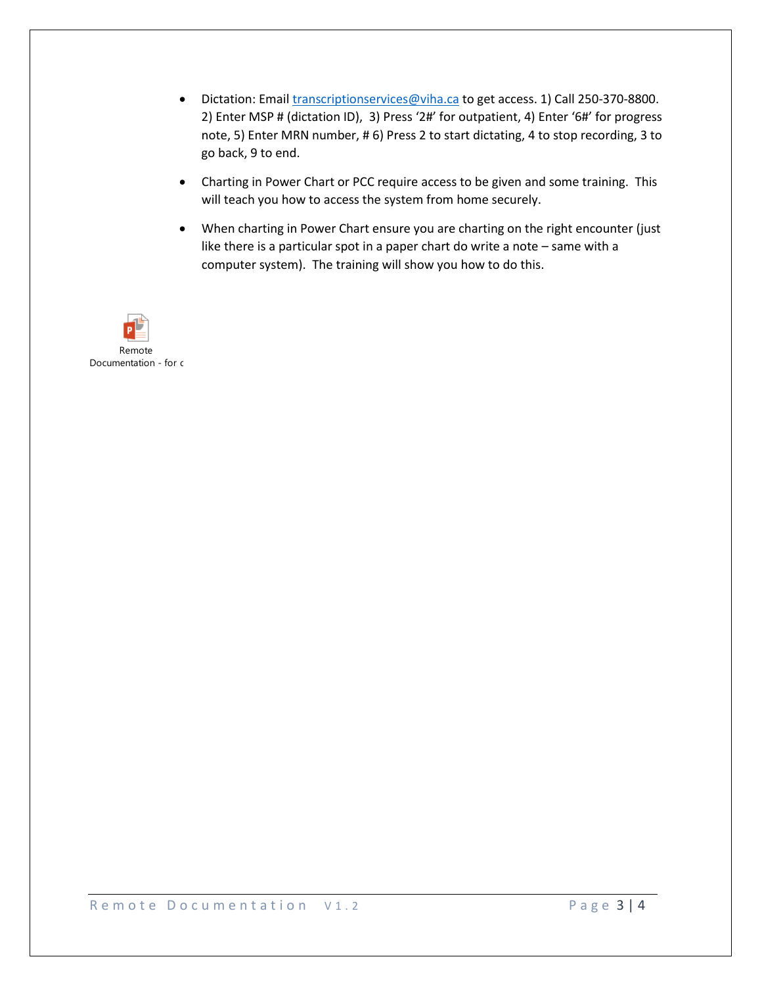- Dictation: Email [transcriptionservices@viha.ca](mailto:transcriptionservices@viha.ca) to get access. 1) Call 250-370-8800. 2) Enter MSP # (dictation ID), 3) Press '2#' for outpatient, 4) Enter '6#' for progress note, 5) Enter MRN number, # 6) Press 2 to start dictating, 4 to stop recording, 3 to go back, 9 to end.
- Charting in Power Chart or PCC require access to be given and some training. This will teach you how to access the system from home securely.
- When charting in Power Chart ensure you are charting on the right encounter (just like there is a particular spot in a paper chart do write a note – same with a computer system). The training will show you how to do this.